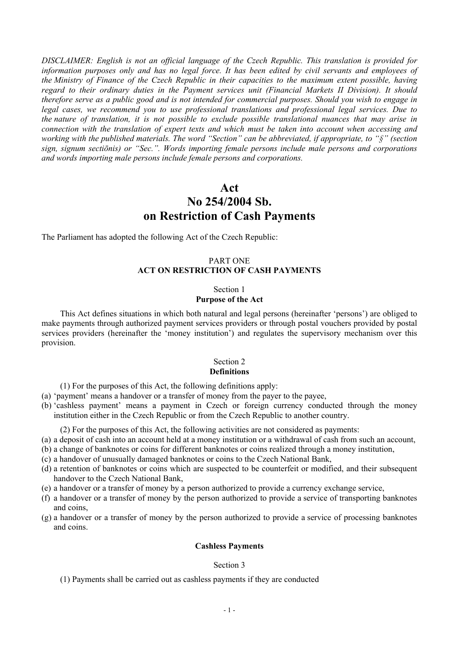*DISCLAIMER: English is not an official language of the Czech Republic. This translation is provided for* information purposes only and has no legal force. It has been edited by civil servants and employees of *the Ministry of Finance of the Czech Republic in their capacities to the maximum extent possible, having regard to their ordinary duties in the Payment services unit (Financial Markets II Division). It should* therefore serve as a public good and is not intended for commercial purposes. Should you wish to engage in *legal cases, we recommend you to use professional translations and professional legal services. Due to the nature of translation, it is not possible to exclude possible translational nuances that may arise in connection with the translation of expert texts and which must be taken into account when accessing and working with the published materials. The word "Section" can be abbreviated, if appropriate, to "§" (section sign, signum sectiōnis) or "Sec.". Words importing female persons include male persons and corporations and words importing male persons include female persons and corporations.*

# **Act No 254/2004 Sb. on Restriction of Cash Payments**

The Parliament has adopted the following Act of the Czech Republic:

## PART ONE **ACT ON RESTRICTION OF CASH PAYMENTS**

#### Section 1 **Purpose of the Act**

This Act defines situations in which both natural and legal persons (hereinafter 'persons') are obliged to make payments through authorized payment services providers or through postal vouchers provided by postal services providers (hereinafter the 'money institution') and regulates the supervisory mechanism over this provision.

#### Section 2 **Definitions**

(1) For the purposes of this Act, the following definitions apply:

- (a) 'payment' means a handover or a transfer of money from the payer to the payee,
- (b) 'cashless payment' means a payment in Czech or foreign currency conducted through the money institution either in the Czech Republic or from the Czech Republic to another country.

(2) For the purposes of this Act, the following activities are not considered as payments:

- (a) a deposit of cash into an account held at a money institution or a withdrawal of cash from such an account,
- (b) a change of banknotes or coins for different banknotes or coins realized through a money institution,
- (c) a handover of unusually damaged banknotes or coins to the Czech National Bank,
- (d) a retention of banknotes or coins which are suspected to be counterfeit or modified, and their subsequent handover to the Czech National Bank,
- (e) a handover or a transfer of money by a person authorized to provide a currency exchange service,
- (f) a handover or a transfer of money by the person authorized to provide a service of transporting banknotes and coins,
- (g) a handover or a transfer of money by the person authorized to provide a service of processing banknotes and coins.

#### **Cashless Payments**

#### Section 3

(1) Payments shall be carried out as cashless payments if they are conducted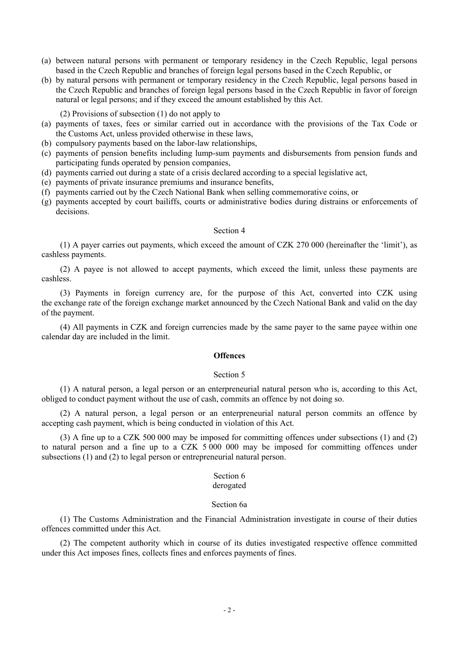- (a) between natural persons with permanent or temporary residency in the Czech Republic, legal persons based in the Czech Republic and branches of foreign legal persons based in the Czech Republic, or
- (b) by natural persons with permanent or temporary residency in the Czech Republic, legal persons based in the Czech Republic and branches of foreign legal persons based in the Czech Republic in favor of foreign natural or legal persons; and if they exceed the amount established by this Act.

(2) Provisions of subsection (1) do not apply to

- (a) payments of taxes, fees or similar carried out in accordance with the provisions of the Tax Code or the Customs Act, unless provided otherwise in these laws,
- (b) compulsory payments based on the labor-law relationships,
- (c) payments of pension benefits including lump-sum payments and disbursements from pension funds and participating funds operated by pension companies,
- (d) payments carried out during a state of a crisis declared according to a special legislative act,
- (e) payments of private insurance premiums and insurance benefits,
- (f) payments carried out by the Czech National Bank when selling commemorative coins, or
- (g) payments accepted by court bailiffs, courts or administrative bodies during distrains or enforcements of decisions.

#### Section 4

(1) A payer carries out payments, which exceed the amount of CZK 270 000 (hereinafter the 'limit'), as cashless payments.

(2) A payee is not allowed to accept payments, which exceed the limit, unless these payments are cashless.

(3) Payments in foreign currency are, for the purpose of this Act, converted into CZK using the exchange rate of the foreign exchange market announced by the Czech National Bank and valid on the day of the payment.

(4) All payments in CZK and foreign currencies made by the same payer to the same payee within one calendar day are included in the limit.

#### **Offences**

#### Section 5

(1) A natural person, a legal person or an enterpreneurial natural person who is, according to this Act, obliged to conduct payment without the use of cash, commits an offence by not doing so.

(2) A natural person, a legal person or an enterpreneurial natural person commits an offence by accepting cash payment, which is being conducted in violation of this Act.

(3) A fine up to a CZK 500 000 may be imposed for committing offences under subsections (1) and (2) to natural person and a fine up to a CZK 5 000 000 may be imposed for committing offences under subsections (1) and (2) to legal person or entrepreneurial natural person.

## Section 6

## derogated

### Section 6a

(1) The Customs Administration and the Financial Administration investigate in course of their duties offences committed under this Act.

(2) The competent authority which in course of its duties investigated respective offence committed under this Act imposes fines, collects fines and enforces payments of fines.